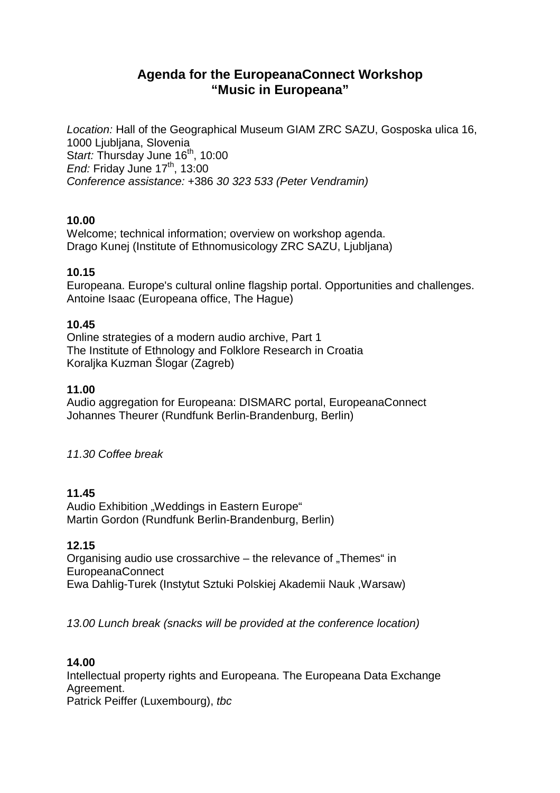# **Agenda for the EuropeanaConnect Workshop "Music in Europeana"**

Location: Hall of the Geographical Museum GIAM ZRC SAZU, Gosposka ulica 16, 1000 Liubliana, Slovenia Start: Thursday June 16<sup>th</sup>, 10:00 End: Friday June  $17<sup>th</sup>$ , 13:00 Conference assistance: +386 30 323 533 (Peter Vendramin)

# **10.00**

Welcome; technical information; overview on workshop agenda. Drago Kunej (Institute of Ethnomusicology ZRC SAZU, Ljubljana)

### **10.15**

Europeana. Europe's cultural online flagship portal. Opportunities and challenges. Antoine Isaac (Europeana office, The Hague)

# **10.45**

Online strategies of a modern audio archive, Part 1 The Institute of Ethnology and Folklore Research in Croatia Koraljka Kuzman Šlogar (Zagreb)

# **11.00**

Audio aggregation for Europeana: DISMARC portal, EuropeanaConnect Johannes Theurer (Rundfunk Berlin-Brandenburg, Berlin)

11.30 Coffee break

# **11.45**

Audio Exhibition "Weddings in Eastern Europe" Martin Gordon (Rundfunk Berlin-Brandenburg, Berlin)

**12.15** 

Organising audio use crossarchive  $-$  the relevance of "Themes" in EuropeanaConnect Ewa Dahlig-Turek (Instytut Sztuki Polskiej Akademii Nauk ,Warsaw)

13.00 Lunch break (snacks will be provided at the conference location)

# **14.00**

Intellectual property rights and Europeana. The Europeana Data Exchange Agreement.

Patrick Peiffer (Luxembourg), tbc